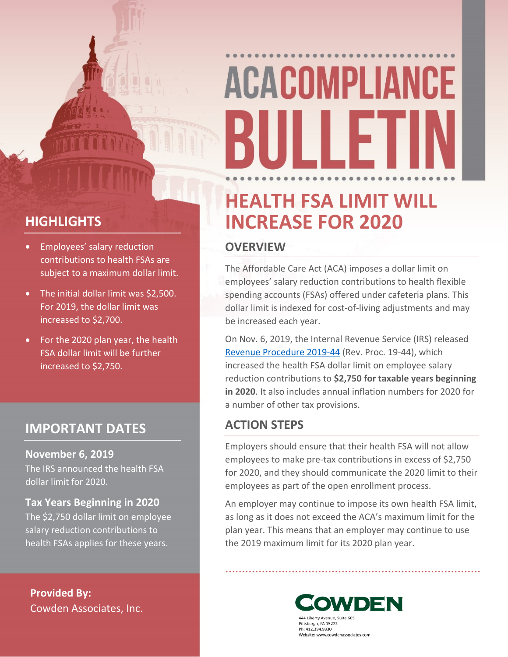# **ACACOMPLIANCE** {iii ii f

# **HEALTH FSA LIMIT WILL INCREASE FOR 2020**

### **OVERVIEW**

The Affordable Care Act (ACA) imposes a dollar limit on employees' salary reduction contributions to health flexible spending accounts (FSAs) offered under cafeteria plans. This dollar limit is indexed for cost-of-living adjustments and may be increased each year.

On Nov. 6, 2019, the Internal Revenue Service (IRS) released [Revenue Procedure 2019-44](https://www.irs.gov/pub/irs-drop/rp-19-44.pdf) (Rev. Proc. 19-44), which increased the health FSA dollar limit on employee salary reduction contributions to **\$2,750 for taxable years beginning in 2020**. It also includes annual inflation numbers for 2020 for a number of other tax provisions.

### **ACTION STEPS**

Employers should ensure that their health FSA will not allow employees to make pre-tax contributions in excess of \$2,750 for 2020, and they should communicate the 2020 limit to their employees as part of the open enrollment process.

An employer may continue to impose its own health FSA limit, as long as it does not exceed the ACA's maximum limit for the plan year. This means that an employer may continue to use the 2019 maximum limit for its 2020 plan year.

> OWDEN 444 Liberty Avenue, Suite 605 Pittsburgh, PA 15222 Ph: 412.394.9330 Website: www.cowdenassociates.com

# **HIGHLIGHTS**

- **•** Employees' salary reduction contributions to health FSAs are subject to a maximum dollar limit.
- The initial dollar limit was \$2,500. For 2019, the dollar limit was increased to \$2,700.
- For the 2020 plan year, the health FSA dollar limit will be further increased to \$2,750.

## **IMPORTANT DATES**

**November 6, 2019**

The IRS announced the health FSA dollar limit for 2020.

**Tax Years Beginning in 2020** The \$2,750 dollar limit on employee salary reduction contributions to health FSAs applies for these years.

**Provided By:** Cowden Associates, Inc.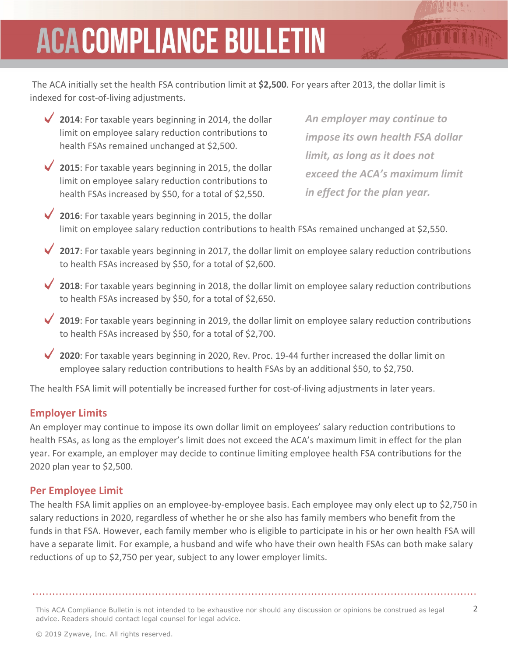# **ACACOMPLIANCE BULLETIN**

 The ACA initially set the health FSA contribution limit at **\$2,500**. For years after 2013, the dollar limit is indexed for cost-of-living adjustments.

- **2014**: For taxable years beginning in 2014, the dollar limit on employee salary reduction contributions to health FSAs remained unchanged at \$2,500.
- **2015**: For taxable years beginning in 2015, the dollar limit on employee salary reduction contributions to health FSAs increased by \$50, for a total of \$2,550.

*An employer may continue to impose its own health FSA dollar limit, as long as it does not exceed the ACA's maximum limit in effect for the plan year.*

- ◆ 2016: For taxable years beginning in 2015, the dollar limit on employee salary reduction contributions to health FSAs remained unchanged at \$2,550.
- **2017**: For taxable years beginning in 2017, the dollar limit on employee salary reduction contributions to health FSAs increased by \$50, for a total of \$2,600.
- **2018**: For taxable years beginning in 2018, the dollar limit on employee salary reduction contributions to health FSAs increased by \$50, for a total of \$2,650.
- **2019**: For taxable years beginning in 2019, the dollar limit on employee salary reduction contributions to health FSAs increased by \$50, for a total of \$2,700.
- **2020**: For taxable years beginning in 2020, Rev. Proc. 19-44 further increased the dollar limit on employee salary reduction contributions to health FSAs by an additional \$50, to \$2,750.

The health FSA limit will potentially be increased further for cost-of-living adjustments in later years.

#### **Employer Limits**

An employer may continue to impose its own dollar limit on employees' salary reduction contributions to health FSAs, as long as the employer's limit does not exceed the ACA's maximum limit in effect for the plan year. For example, an employer may decide to continue limiting employee health FSA contributions for the 2020 plan year to \$2,500.

#### **Per Employee Limit**

The health FSA limit applies on an employee-by-employee basis. Each employee may only elect up to \$2,750 in salary reductions in 2020, regardless of whether he or she also has family members who benefit from the funds in that FSA. However, each family member who is eligible to participate in his or her own health FSA will have a separate limit. For example, a husband and wife who have their own health FSAs can both make salary reductions of up to \$2,750 per year, subject to any lower employer limits.

This ACA Compliance Bulletin is not intended to be exhaustive nor should any discussion or opinions be construed as legal 2 advice. Readers should contact legal counsel for legal advice.